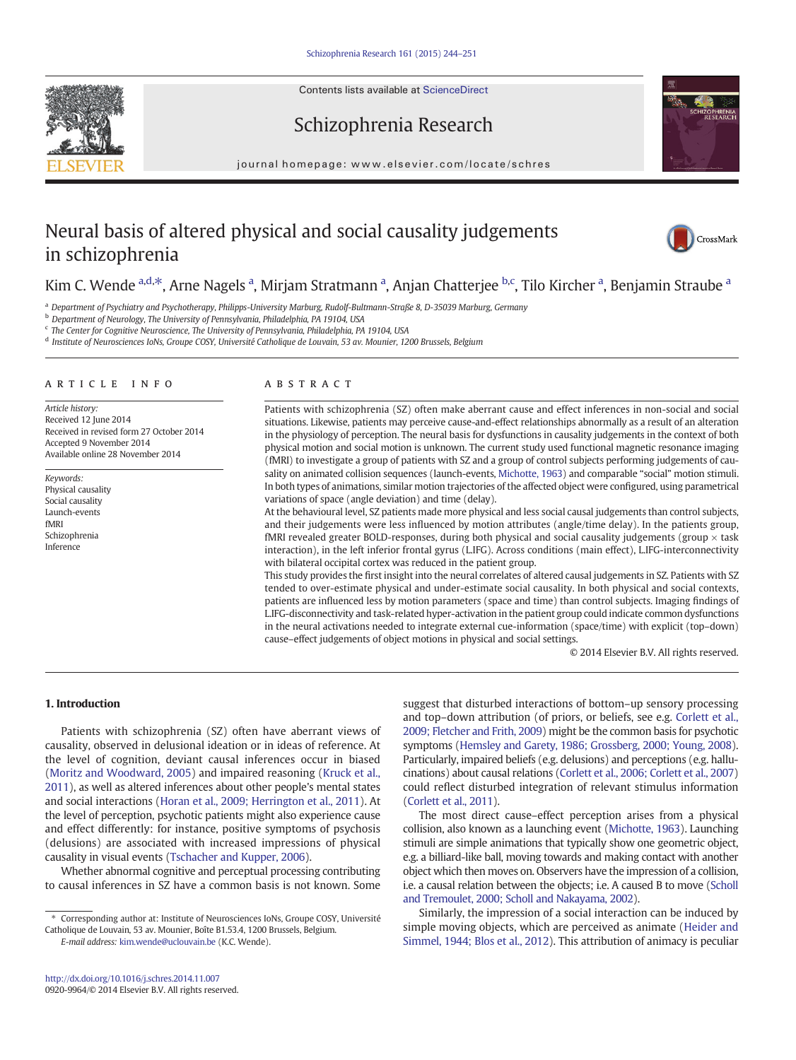Contents lists available at ScienceDirect





# Schizophrenia Research

journal homepage: www.elsevier.com/locate/schres

# Neural basis of altered physical and social causality judgements in schizophrenia



# Kim C. Wende <sup>a,d,\*</sup>, Arne Nagels <sup>a</sup>, Mirjam Stratmann <sup>a</sup>, Anjan Chatterjee <sup>b,c</sup>, Tilo Kircher <sup>a</sup>, Benjamin Straube <sup>a</sup>

<sup>a</sup> Department of Psychiatry and Psychotherapy, Philipps-University Marburg, Rudolf-Bultmann-Straße 8, D-35039 Marburg, Germany

<sup>b</sup> Department of Neurology, The University of Pennsylvania, Philadelphia, PA 19104, USA

<sup>c</sup> The Center for Cognitive Neuroscience, The University of Pennsylvania, Philadelphia, PA 19104, USA

# <sup>d</sup> Institute of Neurosciences IoNs, Groupe COSY, Université Catholique de Louvain, 53 av. Mounier, 1200 Brussels, Belgium

#### article info abstract

Article history: Received 12 June 2014 Received in revised form 27 October 2014 Accepted 9 November 2014 Available online 28 November 2014

Keywords: Physical causality Social causality Launch-events fMRI Schizophrenia Inference

Patients with schizophrenia (SZ) often make aberrant cause and effect inferences in non-social and social situations. Likewise, patients may perceive cause-and-effect relationships abnormally as a result of an alteration in the physiology of perception. The neural basis for dysfunctions in causality judgements in the context of both physical motion and social motion is unknown. The current study used functional magnetic resonance imaging (fMRI) to investigate a group of patients with SZ and a group of control subjects performing judgements of causality on animated collision sequences (launch-events, [Michotte, 1963](#page-6-0)) and comparable "social" motion stimuli. In both types of animations, similar motion trajectories of the affected object were configured, using parametrical variations of space (angle deviation) and time (delay).

At the behavioural level, SZ patients made more physical and less social causal judgements than control subjects, and their judgements were less influenced by motion attributes (angle/time delay). In the patients group, fMRI revealed greater BOLD-responses, during both physical and social causality judgements (group  $\times$  task interaction), in the left inferior frontal gyrus (L.IFG). Across conditions (main effect), L.IFG-interconnectivity with bilateral occipital cortex was reduced in the patient group.

This study provides the first insight into the neural correlates of altered causal judgements in SZ. Patients with SZ tended to over-estimate physical and under-estimate social causality. In both physical and social contexts, patients are influenced less by motion parameters (space and time) than control subjects. Imaging findings of L.IFG-disconnectivity and task-related hyper-activation in the patient group could indicate common dysfunctions in the neural activations needed to integrate external cue-information (space/time) with explicit (top–down) cause–effect judgements of object motions in physical and social settings.

© 2014 Elsevier B.V. All rights reserved.

# 1. Introduction

Patients with schizophrenia (SZ) often have aberrant views of causality, observed in delusional ideation or in ideas of reference. At the level of cognition, deviant causal inferences occur in biased [\(Moritz and Woodward, 2005](#page-6-0)) and impaired reasoning ([Kruck et al.,](#page-6-0) [2011\)](#page-6-0), as well as altered inferences about other people's mental states and social interactions ([Horan et al., 2009; Herrington et al., 2011](#page-6-0)). At the level of perception, psychotic patients might also experience cause and effect differently: for instance, positive symptoms of psychosis (delusions) are associated with increased impressions of physical causality in visual events [\(Tschacher and Kupper, 2006](#page-7-0)).

Whether abnormal cognitive and perceptual processing contributing to causal inferences in SZ have a common basis is not known. Some

E-mail address: [kim.wende@uclouvain.be](mailto:kim.wende@uclouvain.be) (K.C. Wende).

suggest that disturbed interactions of bottom–up sensory processing and top–down attribution (of priors, or beliefs, see e.g. [Corlett et al.,](#page-6-0) [2009; Fletcher and Frith, 2009\)](#page-6-0) might be the common basis for psychotic symptoms [\(Hemsley and Garety, 1986; Grossberg, 2000; Young, 2008\)](#page-6-0). Particularly, impaired beliefs (e.g. delusions) and perceptions (e.g. hallucinations) about causal relations [\(Corlett et al., 2006; Corlett et al., 2007](#page-6-0)) could reflect disturbed integration of relevant stimulus information [\(Corlett et al., 2011\)](#page-6-0).

The most direct cause–effect perception arises from a physical collision, also known as a launching event ([Michotte, 1963\)](#page-6-0). Launching stimuli are simple animations that typically show one geometric object, e.g. a billiard-like ball, moving towards and making contact with another object which then moves on. Observers have the impression of a collision, i.e. a causal relation between the objects; i.e. A caused B to move [\(Scholl](#page-6-0) [and Tremoulet, 2000; Scholl and Nakayama, 2002\)](#page-6-0).

Similarly, the impression of a social interaction can be induced by simple moving objects, which are perceived as animate ([Heider and](#page-6-0) [Simmel, 1944; Blos et al., 2012\)](#page-6-0). This attribution of animacy is peculiar

<sup>⁎</sup> Corresponding author at: Institute of Neurosciences IoNs, Groupe COSY, Université Catholique de Louvain, 53 av. Mounier, Boîte B1.53.4, 1200 Brussels, Belgium.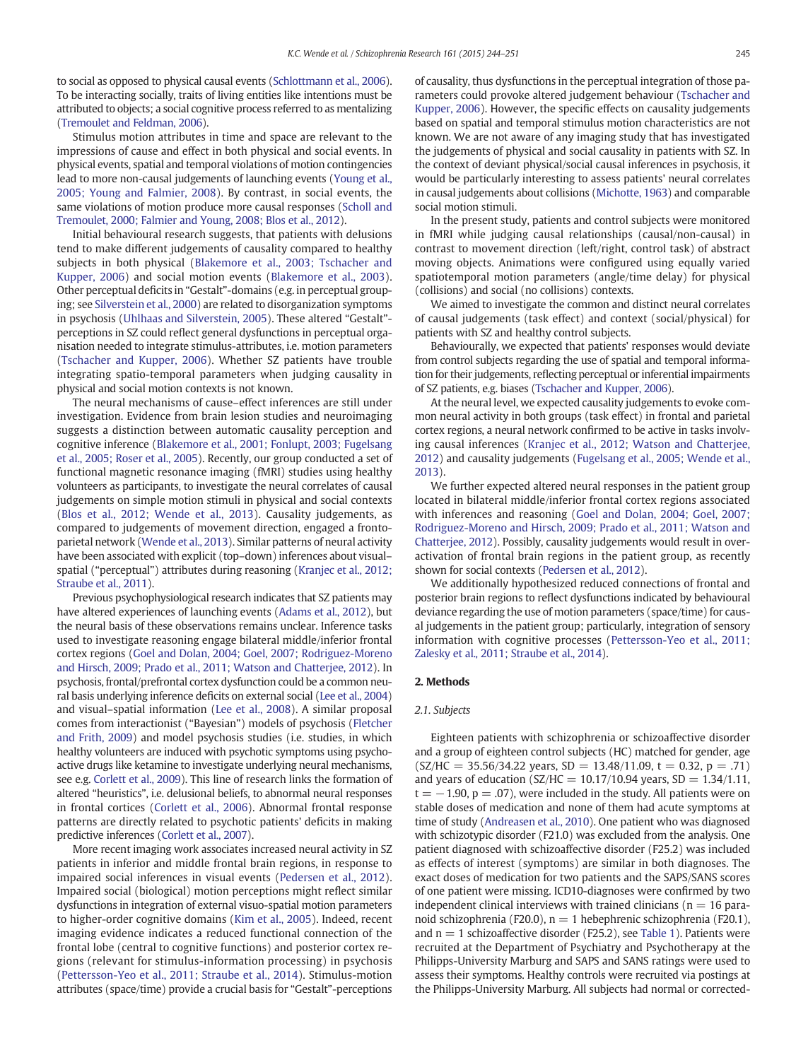to social as opposed to physical causal events [\(Schlottmann et al., 2006](#page-6-0)). To be interacting socially, traits of living entities like intentions must be attributed to objects; a social cognitive process referred to as mentalizing [\(Tremoulet and Feldman, 2006](#page-7-0)).

Stimulus motion attributes in time and space are relevant to the impressions of cause and effect in both physical and social events. In physical events, spatial and temporal violations of motion contingencies lead to more non-causal judgements of launching events [\(Young et al.,](#page-7-0) [2005; Young and Falmier, 2008\)](#page-7-0). By contrast, in social events, the same violations of motion produce more causal responses [\(Scholl and](#page-6-0) [Tremoulet, 2000; Falmier and Young, 2008; Blos et al., 2012](#page-6-0)).

Initial behavioural research suggests, that patients with delusions tend to make different judgements of causality compared to healthy subjects in both physical ([Blakemore et al., 2003; Tschacher and](#page-6-0) [Kupper, 2006](#page-6-0)) and social motion events ([Blakemore et al., 2003](#page-6-0)). Other perceptual deficits in "Gestalt"-domains (e.g. in perceptual grouping; see [Silverstein et al., 2000](#page-6-0)) are related to disorganization symptoms in psychosis [\(Uhlhaas and Silverstein, 2005\)](#page-7-0). These altered "Gestalt" perceptions in SZ could reflect general dysfunctions in perceptual organisation needed to integrate stimulus-attributes, i.e. motion parameters [\(Tschacher and Kupper, 2006\)](#page-7-0). Whether SZ patients have trouble integrating spatio-temporal parameters when judging causality in physical and social motion contexts is not known.

The neural mechanisms of cause–effect inferences are still under investigation. Evidence from brain lesion studies and neuroimaging suggests a distinction between automatic causality perception and cognitive inference [\(Blakemore et al., 2001; Fonlupt, 2003; Fugelsang](#page-6-0) [et al., 2005; Roser et al., 2005\)](#page-6-0). Recently, our group conducted a set of functional magnetic resonance imaging (fMRI) studies using healthy volunteers as participants, to investigate the neural correlates of causal judgements on simple motion stimuli in physical and social contexts [\(Blos et al., 2012; Wende et al., 2013\)](#page-6-0). Causality judgements, as compared to judgements of movement direction, engaged a frontoparietal network [\(Wende et al., 2013\)](#page-7-0). Similar patterns of neural activity have been associated with explicit (top–down) inferences about visual– spatial ("perceptual") attributes during reasoning [\(Kranjec et al., 2012;](#page-6-0) [Straube et al., 2011](#page-6-0)).

Previous psychophysiological research indicates that SZ patients may have altered experiences of launching events ([Adams et al., 2012](#page-6-0)), but the neural basis of these observations remains unclear. Inference tasks used to investigate reasoning engage bilateral middle/inferior frontal cortex regions ([Goel and Dolan, 2004; Goel, 2007; Rodriguez-Moreno](#page-6-0) [and Hirsch, 2009; Prado et al., 2011; Watson and Chatterjee, 2012\)](#page-6-0). In psychosis, frontal/prefrontal cortex dysfunction could be a common neural basis underlying inference deficits on external social [\(Lee et al., 2004](#page-6-0)) and visual–spatial information [\(Lee et al., 2008\)](#page-6-0). A similar proposal comes from interactionist ("Bayesian") models of psychosis [\(Fletcher](#page-6-0) [and Frith, 2009](#page-6-0)) and model psychosis studies (i.e. studies, in which healthy volunteers are induced with psychotic symptoms using psychoactive drugs like ketamine to investigate underlying neural mechanisms, see e.g. [Corlett et al., 2009](#page-6-0)). This line of research links the formation of altered "heuristics", i.e. delusional beliefs, to abnormal neural responses in frontal cortices ([Corlett et al., 2006](#page-6-0)). Abnormal frontal response patterns are directly related to psychotic patients' deficits in making predictive inferences [\(Corlett et al., 2007\)](#page-6-0).

More recent imaging work associates increased neural activity in SZ patients in inferior and middle frontal brain regions, in response to impaired social inferences in visual events [\(Pedersen et al., 2012](#page-6-0)). Impaired social (biological) motion perceptions might reflect similar dysfunctions in integration of external visuo-spatial motion parameters to higher-order cognitive domains [\(Kim et al., 2005](#page-6-0)). Indeed, recent imaging evidence indicates a reduced functional connection of the frontal lobe (central to cognitive functions) and posterior cortex regions (relevant for stimulus-information processing) in psychosis [\(Pettersson-Yeo et al., 2011; Straube et al., 2014](#page-6-0)). Stimulus-motion attributes (space/time) provide a crucial basis for "Gestalt"-perceptions of causality, thus dysfunctions in the perceptual integration of those parameters could provoke altered judgement behaviour ([Tschacher and](#page-7-0) [Kupper, 2006](#page-7-0)). However, the specific effects on causality judgements based on spatial and temporal stimulus motion characteristics are not known. We are not aware of any imaging study that has investigated the judgements of physical and social causality in patients with SZ. In the context of deviant physical/social causal inferences in psychosis, it would be particularly interesting to assess patients' neural correlates in causal judgements about collisions [\(Michotte, 1963\)](#page-6-0) and comparable social motion stimuli.

In the present study, patients and control subjects were monitored in fMRI while judging causal relationships (causal/non-causal) in contrast to movement direction (left/right, control task) of abstract moving objects. Animations were configured using equally varied spatiotemporal motion parameters (angle/time delay) for physical (collisions) and social (no collisions) contexts.

We aimed to investigate the common and distinct neural correlates of causal judgements (task effect) and context (social/physical) for patients with SZ and healthy control subjects.

Behaviourally, we expected that patients' responses would deviate from control subjects regarding the use of spatial and temporal information for their judgements, reflecting perceptual or inferential impairments of SZ patients, e.g. biases [\(Tschacher and Kupper, 2006](#page-7-0)).

At the neural level, we expected causality judgements to evoke common neural activity in both groups (task effect) in frontal and parietal cortex regions, a neural network confirmed to be active in tasks involving causal inferences [\(Kranjec et al., 2012; Watson and Chatterjee,](#page-6-0) [2012\)](#page-6-0) and causality judgements [\(Fugelsang et al., 2005; Wende et al.,](#page-6-0) [2013](#page-6-0)).

We further expected altered neural responses in the patient group located in bilateral middle/inferior frontal cortex regions associated with inferences and reasoning [\(Goel and Dolan, 2004; Goel, 2007;](#page-6-0) [Rodriguez-Moreno and Hirsch, 2009; Prado et al., 2011; Watson and](#page-6-0) [Chatterjee, 2012\)](#page-6-0). Possibly, causality judgements would result in overactivation of frontal brain regions in the patient group, as recently shown for social contexts [\(Pedersen et al., 2012](#page-6-0)).

We additionally hypothesized reduced connections of frontal and posterior brain regions to reflect dysfunctions indicated by behavioural deviance regarding the use of motion parameters (space/time) for causal judgements in the patient group; particularly, integration of sensory information with cognitive processes [\(Pettersson-Yeo et al., 2011;](#page-6-0) [Zalesky et al., 2011; Straube et al., 2014](#page-6-0)).

# 2. Methods

#### 2.1. Subjects

Eighteen patients with schizophrenia or schizoaffective disorder and a group of eighteen control subjects (HC) matched for gender, age  $(SZ/HC = 35.56/34.22$  years, SD = 13.48/11.09, t = 0.32, p = .71) and years of education (SZ/HC =  $10.17/10.94$  years, SD =  $1.34/1.11$ ,  $t = -1.90$ ,  $p = .07$ ), were included in the study. All patients were on stable doses of medication and none of them had acute symptoms at time of study ([Andreasen et al., 2010\)](#page-6-0). One patient who was diagnosed with schizotypic disorder (F21.0) was excluded from the analysis. One patient diagnosed with schizoaffective disorder (F25.2) was included as effects of interest (symptoms) are similar in both diagnoses. The exact doses of medication for two patients and the SAPS/SANS scores of one patient were missing. ICD10-diagnoses were confirmed by two independent clinical interviews with trained clinicians ( $n = 16$  paranoid schizophrenia (F20.0),  $n = 1$  hebephrenic schizophrenia (F20.1), and  $n = 1$  schizoaffective disorder (F25.2), see [Table 1](#page-2-0)). Patients were recruited at the Department of Psychiatry and Psychotherapy at the Philipps-University Marburg and SAPS and SANS ratings were used to assess their symptoms. Healthy controls were recruited via postings at the Philipps-University Marburg. All subjects had normal or corrected-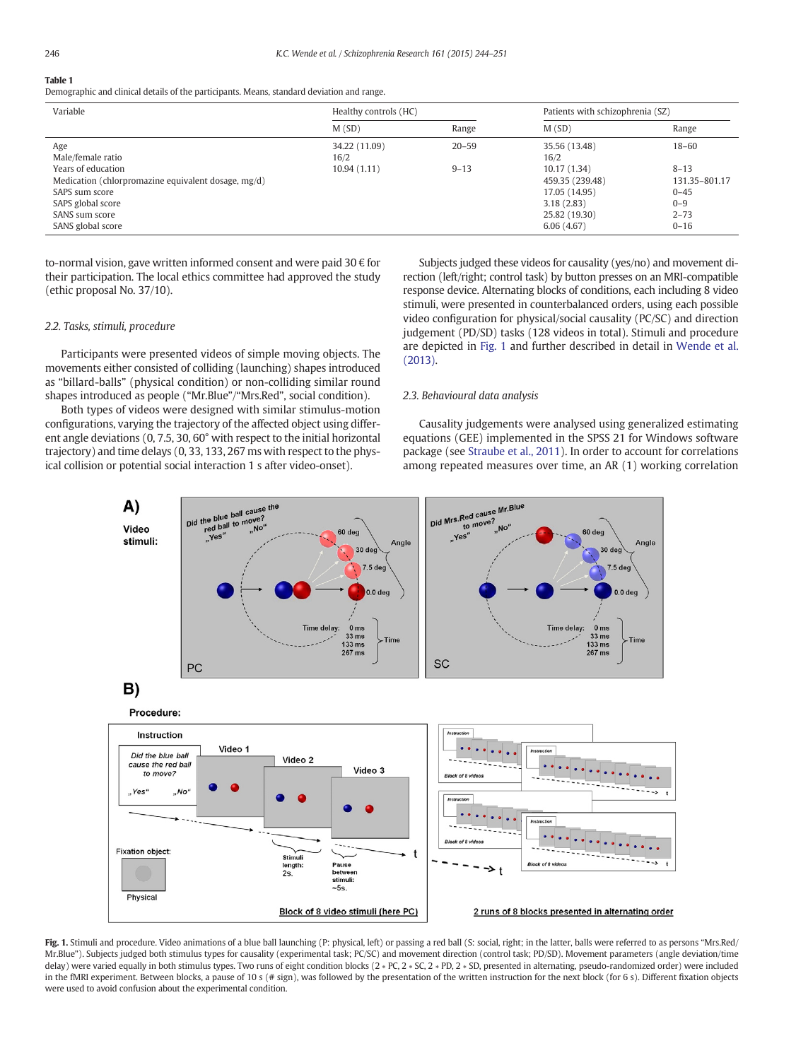# <span id="page-2-0"></span>Table 1

Demographic and clinical details of the participants. Means, standard deviation and range.

| Variable                                                                                                                                                | Healthy controls (HC) |           | Patients with schizophrenia (SZ)                                                             |                                                                          |  |
|---------------------------------------------------------------------------------------------------------------------------------------------------------|-----------------------|-----------|----------------------------------------------------------------------------------------------|--------------------------------------------------------------------------|--|
|                                                                                                                                                         | M(SD)                 | Range     | M(SD)                                                                                        | Range                                                                    |  |
| Age<br>Male/female ratio                                                                                                                                | 34.22 (11.09)<br>16/2 | $20 - 59$ | 35.56 (13.48)<br>16/2                                                                        | $18 - 60$                                                                |  |
| Years of education<br>Medication (chlorpromazine equivalent dosage, mg/d)<br>SAPS sum score<br>SAPS global score<br>SANS sum score<br>SANS global score | 10.94(1.11)           | $9 - 13$  | 10.17(1.34)<br>459.35 (239.48)<br>17.05 (14.95)<br>3.18(2.83)<br>25.82 (19.30)<br>6.06(4.67) | $8 - 13$<br>131.35-801.17<br>$0 - 45$<br>$0 - 9$<br>$2 - 73$<br>$0 - 16$ |  |

to-normal vision, gave written informed consent and were paid 30  $\epsilon$  for their participation. The local ethics committee had approved the study (ethic proposal No. 37/10).

#### 2.2. Tasks, stimuli, procedure

Participants were presented videos of simple moving objects. The movements either consisted of colliding (launching) shapes introduced as "billard-balls" (physical condition) or non-colliding similar round shapes introduced as people ("Mr.Blue"/"Mrs.Red", social condition).

Both types of videos were designed with similar stimulus-motion configurations, varying the trajectory of the affected object using different angle deviations (0, 7.5, 30, 60° with respect to the initial horizontal trajectory) and time delays (0, 33, 133, 267 ms with respect to the physical collision or potential social interaction 1 s after video-onset).

Subjects judged these videos for causality (yes/no) and movement direction (left/right; control task) by button presses on an MRI-compatible response device. Alternating blocks of conditions, each including 8 video stimuli, were presented in counterbalanced orders, using each possible video configuration for physical/social causality (PC/SC) and direction judgement (PD/SD) tasks (128 videos in total). Stimuli and procedure are depicted in Fig. 1 and further described in detail in [Wende et al.](#page-7-0) [\(2013\).](#page-7-0)

### 2.3. Behavioural data analysis

Causality judgements were analysed using generalized estimating equations (GEE) implemented in the SPSS 21 for Windows software package (see [Straube et al., 2011](#page-6-0)). In order to account for correlations among repeated measures over time, an AR (1) working correlation



Fig. 1. Stimuli and procedure. Video animations of a blue ball launching (P: physical, left) or passing a red ball (S: social, right; in the latter, balls were referred to as persons "Mrs.Red/ Mr.Blue"). Subjects judged both stimulus types for causality (experimental task; PC/SC) and movement direction (control task; PD/SD). Movement parameters (angle deviation/time delay) were varied equally in both stimulus types. Two runs of eight condition blocks (2 ∗ PC, 2 ∗ SC, 2 ∗ PD, 2 ∗ SD, presented in alternating, pseudo-randomized order) were included in the fMRI experiment. Between blocks, a pause of 10 s (# sign), was followed by the presentation of the written instruction for the next block (for 6 s). Different fixation objects were used to avoid confusion about the experimental condition.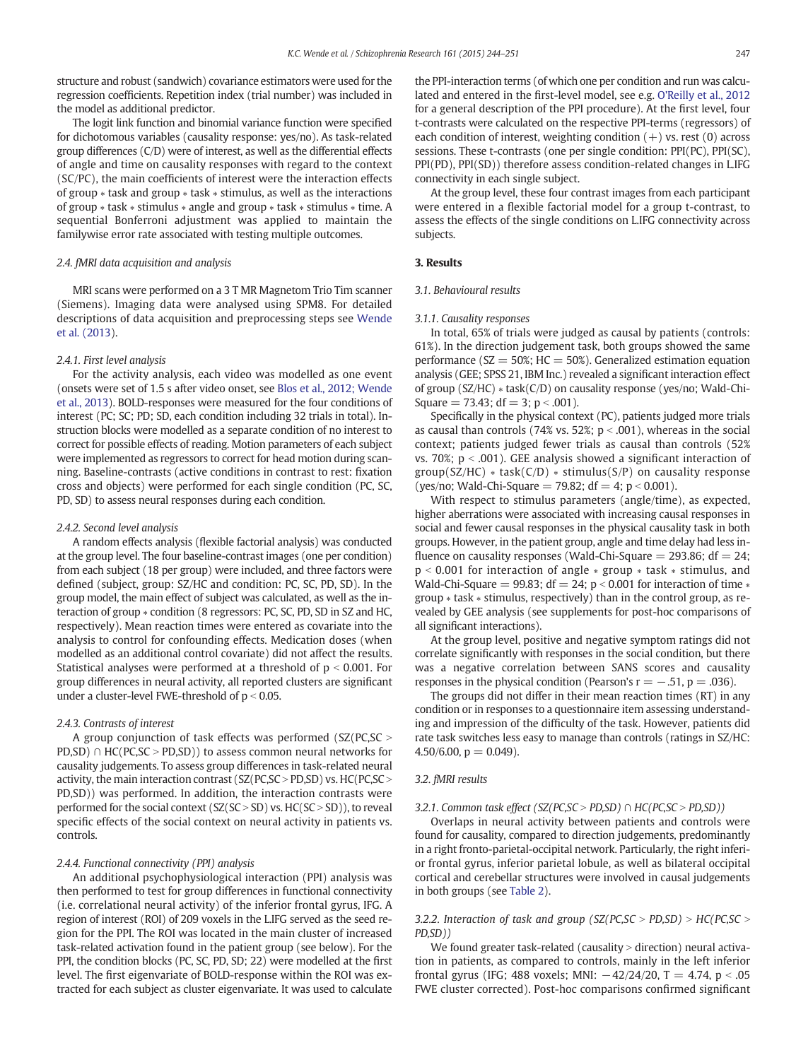structure and robust (sandwich) covariance estimators were used for the regression coefficients. Repetition index (trial number) was included in the model as additional predictor.

The logit link function and binomial variance function were specified for dichotomous variables (causality response: yes/no). As task-related group differences (C/D) were of interest, as well as the differential effects of angle and time on causality responses with regard to the context (SC/PC), the main coefficients of interest were the interaction effects of group ∗ task and group ∗ task ∗ stimulus, as well as the interactions of group ∗ task ∗ stimulus ∗ angle and group ∗ task ∗ stimulus ∗ time. A sequential Bonferroni adjustment was applied to maintain the familywise error rate associated with testing multiple outcomes.

# 2.4. fMRI data acquisition and analysis

MRI scans were performed on a 3 T MR Magnetom Trio Tim scanner (Siemens). Imaging data were analysed using SPM8. For detailed descriptions of data acquisition and preprocessing steps see [Wende](#page-7-0) [et al. \(2013\)](#page-7-0).

#### 2.4.1. First level analysis

For the activity analysis, each video was modelled as one event (onsets were set of 1.5 s after video onset, see [Blos et al., 2012; Wende](#page-6-0) [et al., 2013](#page-6-0)). BOLD-responses were measured for the four conditions of interest (PC; SC; PD; SD, each condition including 32 trials in total). Instruction blocks were modelled as a separate condition of no interest to correct for possible effects of reading. Motion parameters of each subject were implemented as regressors to correct for head motion during scanning. Baseline-contrasts (active conditions in contrast to rest: fixation cross and objects) were performed for each single condition (PC, SC, PD, SD) to assess neural responses during each condition.

### 2.4.2. Second level analysis

A random effects analysis (flexible factorial analysis) was conducted at the group level. The four baseline-contrast images (one per condition) from each subject (18 per group) were included, and three factors were defined (subject, group: SZ/HC and condition: PC, SC, PD, SD). In the group model, the main effect of subject was calculated, as well as the interaction of group ∗ condition (8 regressors: PC, SC, PD, SD in SZ and HC, respectively). Mean reaction times were entered as covariate into the analysis to control for confounding effects. Medication doses (when modelled as an additional control covariate) did not affect the results. Statistical analyses were performed at a threshold of  $p < 0.001$ . For group differences in neural activity, all reported clusters are significant under a cluster-level FWE-threshold of  $p < 0.05$ .

#### 2.4.3. Contrasts of interest

A group conjunction of task effects was performed  $(SZ(PC, SC > 0.1))$ PD,SD) ∩ HC(PC,SC > PD,SD)) to assess common neural networks for causality judgements. To assess group differences in task-related neural activity, the main interaction contrast ( $SZ(PC,SC > PD,SD)$  vs.  $HC(PC,SC >$ PD,SD)) was performed. In addition, the interaction contrasts were performed for the social context ( $SZ(SC > SD)$  vs.  $HC(SC > SD)$ ), to reveal specific effects of the social context on neural activity in patients vs. controls.

# 2.4.4. Functional connectivity (PPI) analysis

An additional psychophysiological interaction (PPI) analysis was then performed to test for group differences in functional connectivity (i.e. correlational neural activity) of the inferior frontal gyrus, IFG. A region of interest (ROI) of 209 voxels in the L.IFG served as the seed region for the PPI. The ROI was located in the main cluster of increased task-related activation found in the patient group (see below). For the PPI, the condition blocks (PC, SC, PD, SD; 22) were modelled at the first level. The first eigenvariate of BOLD-response within the ROI was extracted for each subject as cluster eigenvariate. It was used to calculate

the PPI-interaction terms (of which one per condition and run was calculated and entered in the first-level model, see e.g. [O'Reilly et al., 2012](#page-6-0) for a general description of the PPI procedure). At the first level, four t-contrasts were calculated on the respective PPI-terms (regressors) of each condition of interest, weighting condition  $(+)$  vs. rest  $(0)$  across sessions. These t-contrasts (one per single condition: PPI(PC), PPI(SC), PPI(PD), PPI(SD)) therefore assess condition-related changes in L.IFG connectivity in each single subject.

At the group level, these four contrast images from each participant were entered in a flexible factorial model for a group t-contrast, to assess the effects of the single conditions on L.IFG connectivity across subjects.

# 3. Results

#### 3.1. Behavioural results

### 3.1.1. Causality responses

In total, 65% of trials were judged as causal by patients (controls: 61%). In the direction judgement task, both groups showed the same performance ( $SZ = 50\%$ ;  $HC = 50\%$ ). Generalized estimation equation analysis (GEE; SPSS 21, IBM Inc.) revealed a significant interaction effect of group (SZ/HC) ∗ task(C/D) on causality response (yes/no; Wald-Chi-Square  $= 73.43$ ; df  $= 3$ ; p < .001).

Specifically in the physical context (PC), patients judged more trials as causal than controls (74% vs. 52%;  $p < .001$ ), whereas in the social context; patients judged fewer trials as causal than controls (52% vs. 70%;  $p < .001$ ). GEE analysis showed a significant interaction of  $group(SZ/HC) * task(C/D) * stimulus(S/P)$  on causality response (yes/no; Wald-Chi-Square = 79.82;  $df = 4$ ;  $p < 0.001$ ).

With respect to stimulus parameters (angle/time), as expected, higher aberrations were associated with increasing causal responses in social and fewer causal responses in the physical causality task in both groups. However, in the patient group, angle and time delay had less influence on causality responses (Wald-Chi-Square  $=$  293.86; df  $=$  24; p < 0.001 for interaction of angle ∗ group ∗ task ∗ stimulus, and Wald-Chi-Square = 99.83; df = 24;  $p < 0.001$  for interaction of time  $*$ group ∗ task ∗ stimulus, respectively) than in the control group, as revealed by GEE analysis (see supplements for post-hoc comparisons of all significant interactions).

At the group level, positive and negative symptom ratings did not correlate significantly with responses in the social condition, but there was a negative correlation between SANS scores and causality responses in the physical condition (Pearson's  $r = -0.51$ , p = .036).

The groups did not differ in their mean reaction times (RT) in any condition or in responses to a questionnaire item assessing understanding and impression of the difficulty of the task. However, patients did rate task switches less easy to manage than controls (ratings in SZ/HC:  $4.50/6.00$ ,  $p = 0.049$ ).

#### 3.2. fMRI results

#### 3.2.1. Common task effect (SZ(PC,SC > PD,SD) ∩ HC(PC,SC > PD,SD))

Overlaps in neural activity between patients and controls were found for causality, compared to direction judgements, predominantly in a right fronto-parietal-occipital network. Particularly, the right inferior frontal gyrus, inferior parietal lobule, as well as bilateral occipital cortical and cerebellar structures were involved in causal judgements in both groups (see [Table 2](#page-4-0)).

# 3.2.2. Interaction of task and group (SZ(PC,SC > PD,SD) > HC(PC,SC > PD,SD))

We found greater task-related (causality  $>$  direction) neural activation in patients, as compared to controls, mainly in the left inferior frontal gyrus (IFG; 488 voxels; MNI:  $-42/24/20$ , T = 4.74, p < .05 FWE cluster corrected). Post-hoc comparisons confirmed significant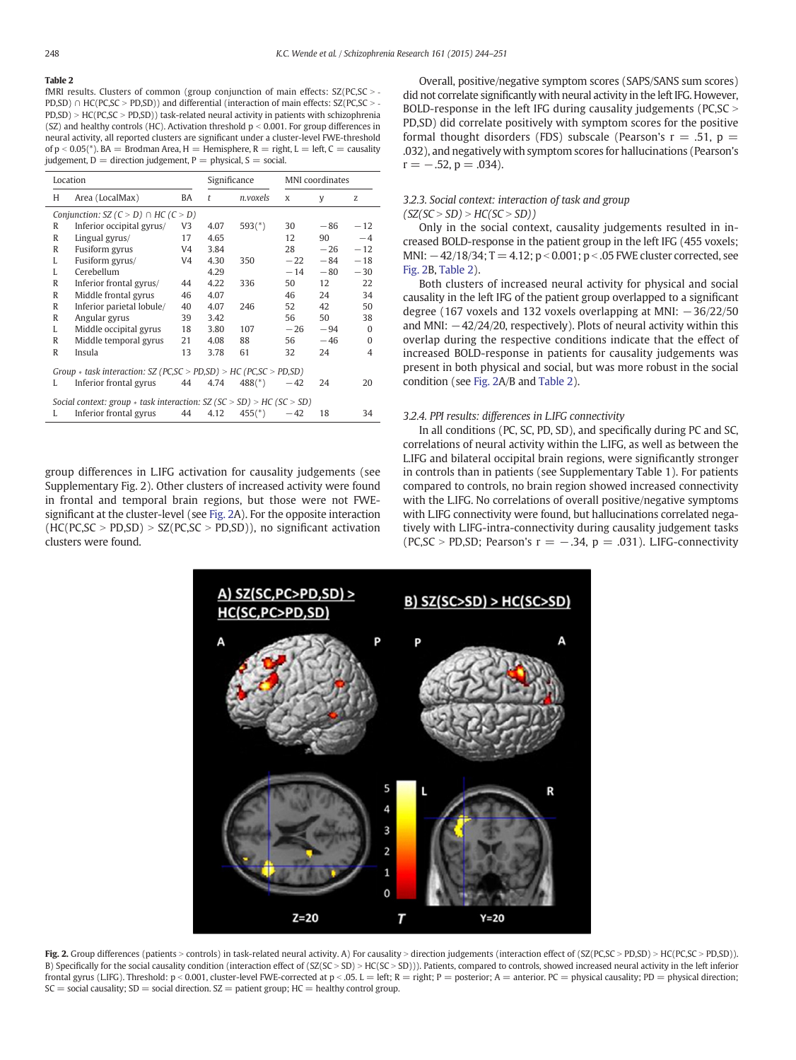# <span id="page-4-0"></span>Table 2

fMRI results. Clusters of common (group conjunction of main effects:  $SZ(PC, SC > -$ PD,SD) ∩ HC(PC,SC > PD,SD)) and differential (interaction of main effects:  $SZ(PC,SC > PD, SD$ ) > HC(PC,SC > PD,SD)) task-related neural activity in patients with schizophrenia (SZ) and healthy controls (HC). Activation threshold  $p < 0.001$ . For group differences in neural activity, all reported clusters are significant under a cluster-level FWE-threshold of  $p < 0.05$ (\*). BA = Brodman Area, H = Hemisphere, R = right, L = left, C = causality judgement,  $D =$  direction judgement,  $P =$  physical,  $S =$  social.

| Location                                                                |                           | Significance |      | MNI coordinates        |       |       |          |  |  |
|-------------------------------------------------------------------------|---------------------------|--------------|------|------------------------|-------|-------|----------|--|--|
| H                                                                       | Area (LocalMax)           | BA           | t    | n.voxels               | X     | y     | Z        |  |  |
| Conjunction: $SZ$ (C > D) $\cap$ HC (C > D)                             |                           |              |      |                        |       |       |          |  |  |
| R                                                                       | Inferior occipital gyrus/ | V3           | 4.07 | $593(*)$               | 30    | $-86$ | $-12$    |  |  |
| R                                                                       | Lingual gyrus/            | 17           | 4.65 |                        | 12    | 90    | $-4$     |  |  |
| R                                                                       | Fusiform gyrus            | V4           | 3.84 |                        | 28    | $-26$ | $-12$    |  |  |
| L                                                                       | Fusiform gyrus/           | V4           | 4.30 | 350                    | $-22$ | $-84$ | $-18$    |  |  |
| L                                                                       | Cerebellum                |              | 4.29 |                        | $-14$ | $-80$ | $-30$    |  |  |
| R                                                                       | Inferior frontal gyrus/   | 44           | 4.22 | 336                    | 50    | 12    | 22       |  |  |
| R                                                                       | Middle frontal gyrus      | 46           | 4.07 |                        | 46    | 24    | 34       |  |  |
| R                                                                       | Inferior parietal lobule/ | 40           | 4.07 | 246                    | 52    | 42    | 50       |  |  |
| R                                                                       | Angular gyrus             | 39           | 3.42 |                        | 56    | 50    | 38       |  |  |
| L                                                                       | Middle occipital gyrus    | 18           | 3.80 | 107                    | $-26$ | $-94$ | $\Omega$ |  |  |
| R                                                                       | Middle temporal gyrus     | 21           | 4.08 | 88                     | 56    | $-46$ | $\Omega$ |  |  |
| R                                                                       | Insula                    | 13           | 3.78 | 61                     | 32    | 24    | 4        |  |  |
| Group $*$ task interaction: SZ (PC, SC > PD, SD) > HC (PC, SC > PD, SD) |                           |              |      |                        |       |       |          |  |  |
| L                                                                       | Inferior frontal gyrus    | 44           | 4.74 | $488$ <sup>(*)</sup> ) | $-42$ | 24    | 20       |  |  |
| Social context: group $*$ task interaction: SZ (SC > SD) > HC (SC > SD) |                           |              |      |                        |       |       |          |  |  |
| L                                                                       | Inferior frontal gyrus    | 44           | 4.12 | $455$ <sup>(*)</sup>   | $-42$ | 18    | 34       |  |  |

group differences in L.IFG activation for causality judgements (see Supplementary Fig. 2). Other clusters of increased activity were found in frontal and temporal brain regions, but those were not FWEsignificant at the cluster-level (see Fig. 2A). For the opposite interaction  $(HC(PC, SC > PD, SD) > SZ(PC, SC > PD, SD))$ , no significant activation clusters were found.

Overall, positive/negative symptom scores (SAPS/SANS sum scores) did not correlate significantly with neural activity in the left IFG. However, BOLD-response in the left IFG during causality judgements (PC, $SC >$ PD,SD) did correlate positively with symptom scores for the positive formal thought disorders (FDS) subscale (Pearson's  $r = .51$ ,  $p =$ .032), and negatively with symptom scores for hallucinations (Pearson's  $r = -.52, p = .034$ .

### 3.2.3. Social context: interaction of task and group  $(SZ(SC > SD) > HC(SC > SD))$

Only in the social context, causality judgements resulted in increased BOLD-response in the patient group in the left IFG (455 voxels; MNI:  $-42/18/34$ ; T = 4.12; p < 0.001; p < .05 FWE cluster corrected, see Fig. 2B, Table 2).

Both clusters of increased neural activity for physical and social causality in the left IFG of the patient group overlapped to a significant degree (167 voxels and 132 voxels overlapping at MNI:  $-36/22/50$ and MNI:  $-42/24/20$ , respectively). Plots of neural activity within this overlap during the respective conditions indicate that the effect of increased BOLD-response in patients for causality judgements was present in both physical and social, but was more robust in the social condition (see Fig. 2A/B and Table 2).

#### 3.2.4. PPI results: differences in L.IFG connectivity

In all conditions (PC, SC, PD, SD), and specifically during PC and SC, correlations of neural activity within the L.IFG, as well as between the L.IFG and bilateral occipital brain regions, were significantly stronger in controls than in patients (see Supplementary Table 1). For patients compared to controls, no brain region showed increased connectivity with the L.IFG. No correlations of overall positive/negative symptoms with L.IFG connectivity were found, but hallucinations correlated negatively with L.IFG-intra-connectivity during causality judgement tasks (PC,SC > PD,SD; Pearson's  $r = -.34$ ,  $p = .031$ ). L.IFG-connectivity



Fig. 2. Group differences (patients > controls) in task-related neural activity. A) For causality > direction judgements (interaction effect of (SZ(PC,SC > PD,SD) > HC(PC,SC > PD,SD)). B) Specifically for the social causality condition (interaction effect of (SZ(SC > SD) > HC(SC > SD))). Patients, compared to controls, showed increased neural activity in the left inferior frontal gyrus (LIFG). Threshold: p < 0.001, cluster-level FWE-corrected at p < 05. L = left; R = right; P = posterior; A = anterior. PC = physical causality; PD = physical direction;  $SC =$  social causality;  $SD =$  social direction.  $SZ =$  patient group;  $HC =$  healthy control group.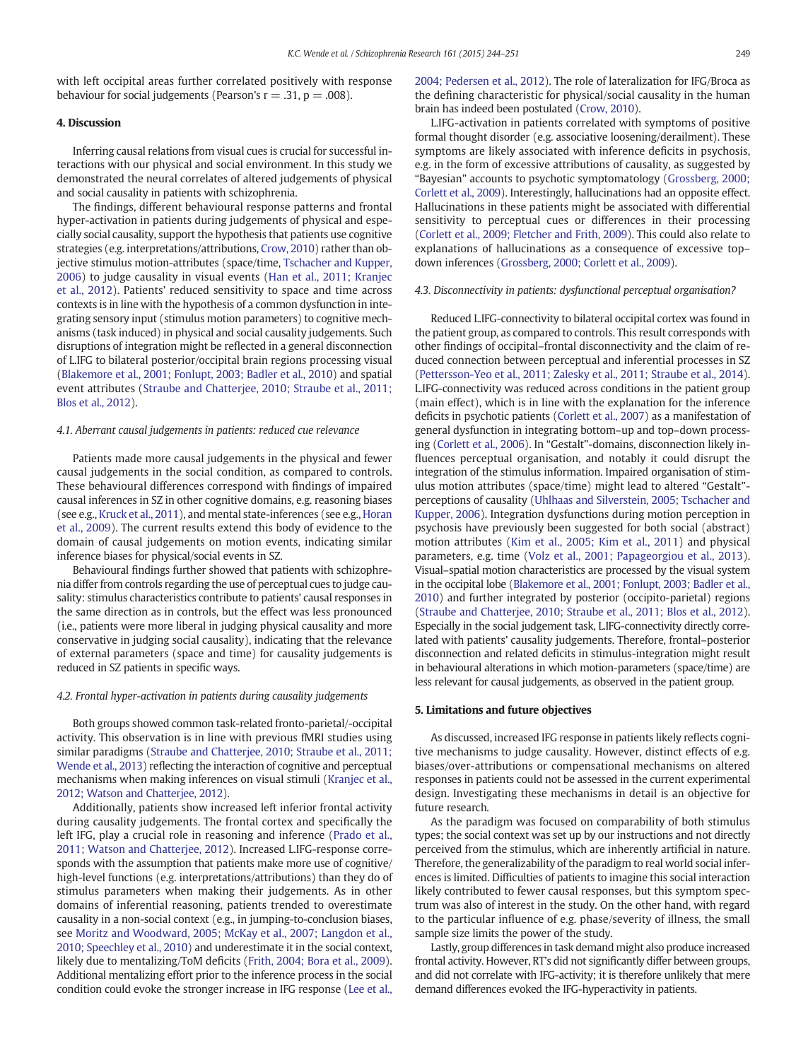with left occipital areas further correlated positively with response behaviour for social judgements (Pearson's  $r = .31$ ,  $p = .008$ ).

### 4. Discussion

Inferring causal relations from visual cues is crucial for successful interactions with our physical and social environment. In this study we demonstrated the neural correlates of altered judgements of physical and social causality in patients with schizophrenia.

The findings, different behavioural response patterns and frontal hyper-activation in patients during judgements of physical and especially social causality, support the hypothesis that patients use cognitive strategies (e.g. interpretations/attributions, [Crow, 2010](#page-6-0)) rather than objective stimulus motion-attributes (space/time, [Tschacher and Kupper,](#page-7-0) [2006\)](#page-7-0) to judge causality in visual events ([Han et al., 2011; Kranjec](#page-6-0) [et al., 2012](#page-6-0)). Patients' reduced sensitivity to space and time across contexts is in line with the hypothesis of a common dysfunction in integrating sensory input (stimulus motion parameters) to cognitive mechanisms (task induced) in physical and social causality judgements. Such disruptions of integration might be reflected in a general disconnection of L.IFG to bilateral posterior/occipital brain regions processing visual [\(Blakemore et al., 2001; Fonlupt, 2003; Badler et al., 2010\)](#page-6-0) and spatial event attributes [\(Straube and Chatterjee, 2010; Straube et al., 2011;](#page-6-0) [Blos et al., 2012\)](#page-6-0).

### 4.1. Aberrant causal judgements in patients: reduced cue relevance

Patients made more causal judgements in the physical and fewer causal judgements in the social condition, as compared to controls. These behavioural differences correspond with findings of impaired causal inferences in SZ in other cognitive domains, e.g. reasoning biases (see e.g., [Kruck et al., 2011\)](#page-6-0), and mental state-inferences (see e.g., [Horan](#page-6-0) [et al., 2009](#page-6-0)). The current results extend this body of evidence to the domain of causal judgements on motion events, indicating similar inference biases for physical/social events in SZ.

Behavioural findings further showed that patients with schizophrenia differ from controls regarding the use of perceptual cues to judge causality: stimulus characteristics contribute to patients' causal responses in the same direction as in controls, but the effect was less pronounced (i.e., patients were more liberal in judging physical causality and more conservative in judging social causality), indicating that the relevance of external parameters (space and time) for causality judgements is reduced in SZ patients in specific ways.

#### 4.2. Frontal hyper-activation in patients during causality judgements

Both groups showed common task-related fronto-parietal/-occipital activity. This observation is in line with previous fMRI studies using similar paradigms ([Straube and Chatterjee, 2010; Straube et al., 2011;](#page-6-0) [Wende et al., 2013\)](#page-6-0) reflecting the interaction of cognitive and perceptual mechanisms when making inferences on visual stimuli [\(Kranjec et al.,](#page-6-0) [2012; Watson and Chatterjee, 2012\)](#page-6-0).

Additionally, patients show increased left inferior frontal activity during causality judgements. The frontal cortex and specifically the left IFG, play a crucial role in reasoning and inference ([Prado et al.,](#page-6-0) [2011; Watson and Chatterjee, 2012](#page-6-0)). Increased L.IFG-response corresponds with the assumption that patients make more use of cognitive/ high-level functions (e.g. interpretations/attributions) than they do of stimulus parameters when making their judgements. As in other domains of inferential reasoning, patients trended to overestimate causality in a non-social context (e.g., in jumping-to-conclusion biases, see [Moritz and Woodward, 2005; McKay et al., 2007; Langdon et al.,](#page-6-0) [2010; Speechley et al., 2010](#page-6-0)) and underestimate it in the social context, likely due to mentalizing/ToM deficits ([Frith, 2004; Bora et al., 2009](#page-6-0)). Additional mentalizing effort prior to the inference process in the social condition could evoke the stronger increase in IFG response ([Lee et al.,](#page-6-0)

[2004; Pedersen et al., 2012\)](#page-6-0). The role of lateralization for IFG/Broca as the defining characteristic for physical/social causality in the human brain has indeed been postulated [\(Crow, 2010\)](#page-6-0).

L.IFG-activation in patients correlated with symptoms of positive formal thought disorder (e.g. associative loosening/derailment). These symptoms are likely associated with inference deficits in psychosis, e.g. in the form of excessive attributions of causality, as suggested by "Bayesian" accounts to psychotic symptomatology ([Grossberg, 2000;](#page-6-0) [Corlett et al., 2009\)](#page-6-0). Interestingly, hallucinations had an opposite effect. Hallucinations in these patients might be associated with differential sensitivity to perceptual cues or differences in their processing [\(Corlett et al., 2009; Fletcher and Frith, 2009](#page-6-0)). This could also relate to explanations of hallucinations as a consequence of excessive top– down inferences [\(Grossberg, 2000; Corlett et al., 2009\)](#page-6-0).

#### 4.3. Disconnectivity in patients: dysfunctional perceptual organisation?

Reduced L.IFG-connectivity to bilateral occipital cortex was found in the patient group, as compared to controls. This result corresponds with other findings of occipital–frontal disconnectivity and the claim of reduced connection between perceptual and inferential processes in SZ [\(Pettersson-Yeo et al., 2011; Zalesky et al., 2011; Straube et al., 2014](#page-6-0)). L.IFG-connectivity was reduced across conditions in the patient group (main effect), which is in line with the explanation for the inference deficits in psychotic patients [\(Corlett et al., 2007](#page-6-0)) as a manifestation of general dysfunction in integrating bottom–up and top–down processing [\(Corlett et al., 2006](#page-6-0)). In "Gestalt"-domains, disconnection likely influences perceptual organisation, and notably it could disrupt the integration of the stimulus information. Impaired organisation of stimulus motion attributes (space/time) might lead to altered "Gestalt" perceptions of causality [\(Uhlhaas and Silverstein, 2005; Tschacher and](#page-7-0) [Kupper, 2006](#page-7-0)). Integration dysfunctions during motion perception in psychosis have previously been suggested for both social (abstract) motion attributes ([Kim et al., 2005; Kim et al., 2011](#page-6-0)) and physical parameters, e.g. time ([Volz et al., 2001; Papageorgiou et al., 2013](#page-7-0)). Visual–spatial motion characteristics are processed by the visual system in the occipital lobe [\(Blakemore et al., 2001; Fonlupt, 2003; Badler et al.,](#page-6-0) [2010\)](#page-6-0) and further integrated by posterior (occipito-parietal) regions [\(Straube and Chatterjee, 2010; Straube et al., 2011; Blos et al., 2012](#page-6-0)). Especially in the social judgement task, L.IFG-connectivity directly correlated with patients' causality judgements. Therefore, frontal–posterior disconnection and related deficits in stimulus-integration might result in behavioural alterations in which motion-parameters (space/time) are less relevant for causal judgements, as observed in the patient group.

#### 5. Limitations and future objectives

As discussed, increased IFG response in patients likely reflects cognitive mechanisms to judge causality. However, distinct effects of e.g. biases/over-attributions or compensational mechanisms on altered responses in patients could not be assessed in the current experimental design. Investigating these mechanisms in detail is an objective for future research.

As the paradigm was focused on comparability of both stimulus types; the social context was set up by our instructions and not directly perceived from the stimulus, which are inherently artificial in nature. Therefore, the generalizability of the paradigm to real world social inferences is limited. Difficulties of patients to imagine this social interaction likely contributed to fewer causal responses, but this symptom spectrum was also of interest in the study. On the other hand, with regard to the particular influence of e.g. phase/severity of illness, the small sample size limits the power of the study.

Lastly, group differences in task demand might also produce increased frontal activity. However, RT's did not significantly differ between groups, and did not correlate with IFG-activity; it is therefore unlikely that mere demand differences evoked the IFG-hyperactivity in patients.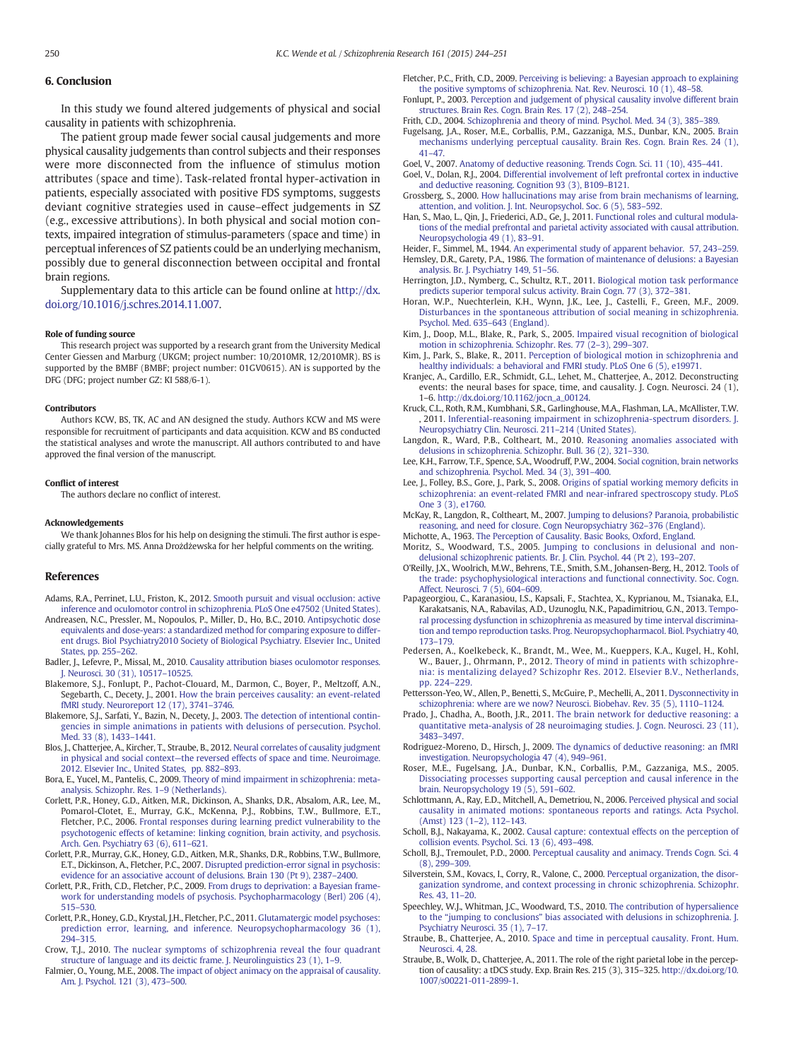### <span id="page-6-0"></span>6. Conclusion

In this study we found altered judgements of physical and social causality in patients with schizophrenia.

The patient group made fewer social causal judgements and more physical causality judgements than control subjects and their responses were more disconnected from the influence of stimulus motion attributes (space and time). Task-related frontal hyper-activation in patients, especially associated with positive FDS symptoms, suggests deviant cognitive strategies used in cause–effect judgements in SZ (e.g., excessive attributions). In both physical and social motion contexts, impaired integration of stimulus-parameters (space and time) in perceptual inferences of SZ patients could be an underlying mechanism, possibly due to general disconnection between occipital and frontal brain regions.

Supplementary data to this article can be found online at [http://dx.](http://dx.doi.org/10.1016/j.schres.2014.11.007) [doi.org/10.1016/j.schres.2014.11.007.](http://dx.doi.org/10.1016/j.schres.2014.11.007)

#### Role of funding source

This research project was supported by a research grant from the University Medical Center Giessen and Marburg (UKGM; project number: 10/2010MR, 12/2010MR). BS is supported by the BMBF (BMBF; project number: 01GV0615). AN is supported by the DFG (DFG; project number GZ: KI 588/6-1).

#### Contributors

Authors KCW, BS, TK, AC and AN designed the study. Authors KCW and MS were responsible for recruitment of participants and data acquisition. KCW and BS conducted the statistical analyses and wrote the manuscript. All authors contributed to and have approved the final version of the manuscript.

#### Conflict of interest

The authors declare no conflict of interest.

#### Acknowledgements

We thank Johannes Blos for his help on designing the stimuli. The first author is especially grateful to Mrs. MS. Anna Drożdżewska for her helpful comments on the writing.

# References

- Adams, R.A., Perrinet, L.U., Friston, K., 2012. [Smooth pursuit and visual occlusion: active](http://refhub.elsevier.com/S0920-9964(14)00658-6/rf0310) [inference and oculomotor control in schizophrenia. PLoS One e47502 \(United States\)](http://refhub.elsevier.com/S0920-9964(14)00658-6/rf0310).
- Andreasen, N.C., Pressler, M., Nopoulos, P., Miller, D., Ho, B.C., 2010. [Antipsychotic dose](http://refhub.elsevier.com/S0920-9964(14)00658-6/rf0315) [equivalents and dose-years: a standardized method for comparing exposure to differ](http://refhub.elsevier.com/S0920-9964(14)00658-6/rf0315)[ent drugs. Biol Psychiatry2010 Society of Biological Psychiatry. Elsevier Inc., United](http://refhub.elsevier.com/S0920-9964(14)00658-6/rf0315) [States, pp. 255](http://refhub.elsevier.com/S0920-9964(14)00658-6/rf0315)–262.
- Badler, J., Lefevre, P., Missal, M., 2010. [Causality attribution biases oculomotor responses.](http://refhub.elsevier.com/S0920-9964(14)00658-6/rf0015) [J. Neurosci. 30 \(31\), 10517](http://refhub.elsevier.com/S0920-9964(14)00658-6/rf0015)–10525.
- Blakemore, S.J., Fonlupt, P., Pachot-Clouard, M., Darmon, C., Boyer, P., Meltzoff, A.N., Segebarth, C., Decety, J., 2001. [How the brain perceives causality: an event-related](http://refhub.elsevier.com/S0920-9964(14)00658-6/rf0020) [fMRI study. Neuroreport 12 \(17\), 3741](http://refhub.elsevier.com/S0920-9964(14)00658-6/rf0020)–3746.
- Blakemore, S.J., Sarfati, Y., Bazin, N., Decety, J., 2003. [The detection of intentional contin](http://refhub.elsevier.com/S0920-9964(14)00658-6/rf0025)[gencies in simple animations in patients with delusions of persecution. Psychol.](http://refhub.elsevier.com/S0920-9964(14)00658-6/rf0025) [Med. 33 \(8\), 1433](http://refhub.elsevier.com/S0920-9964(14)00658-6/rf0025)–1441.
- Blos, J., Chatterjee, A., Kircher, T., Straube, B., 2012. [Neural correlates of causality judgment](http://refhub.elsevier.com/S0920-9964(14)00658-6/rf0320) in physical and social context—[the reversed effects of space and time. Neuroimage.](http://refhub.elsevier.com/S0920-9964(14)00658-6/rf0320) [2012. Elsevier Inc., United States, pp. 882](http://refhub.elsevier.com/S0920-9964(14)00658-6/rf0320)–893.
- Bora, E., Yucel, M., Pantelis, C., 2009. [Theory of mind impairment in schizophrenia: meta](http://refhub.elsevier.com/S0920-9964(14)00658-6/rf0325)[analysis. Schizophr. Res. 1](http://refhub.elsevier.com/S0920-9964(14)00658-6/rf0325)–9 (Netherlands).
- Corlett, P.R., Honey, G.D., Aitken, M.R., Dickinson, A., Shanks, D.R., Absalom, A.R., Lee, M., Pomarol-Clotet, E., Murray, G.K., McKenna, P.J., Robbins, T.W., Bullmore, E.T., Fletcher, P.C., 2006. [Frontal responses during learning predict vulnerability to the](http://refhub.elsevier.com/S0920-9964(14)00658-6/rf0045) [psychotogenic effects of ketamine: linking cognition, brain activity, and psychosis.](http://refhub.elsevier.com/S0920-9964(14)00658-6/rf0045) [Arch. Gen. Psychiatry 63 \(6\), 611](http://refhub.elsevier.com/S0920-9964(14)00658-6/rf0045)–621.
- Corlett, P.R., Murray, G.K., Honey, G.D., Aitken, M.R., Shanks, D.R., Robbins, T.W., Bullmore, E.T., Dickinson, A., Fletcher, P.C., 2007. [Disrupted prediction-error signal in psychosis:](http://refhub.elsevier.com/S0920-9964(14)00658-6/rf0055) [evidence for an associative account of delusions. Brain 130 \(Pt 9\), 2387](http://refhub.elsevier.com/S0920-9964(14)00658-6/rf0055)–2400.
- Corlett, P.R., Frith, C.D., Fletcher, P.C., 2009. [From drugs to deprivation: a Bayesian frame](http://refhub.elsevier.com/S0920-9964(14)00658-6/rf0040)[work for understanding models of psychosis. Psychopharmacology \(Berl\) 206 \(4\),](http://refhub.elsevier.com/S0920-9964(14)00658-6/rf0040) 515–[530.](http://refhub.elsevier.com/S0920-9964(14)00658-6/rf0040)
- Corlett, P.R., Honey, G.D., Krystal, J.H., Fletcher, P.C., 2011. [Glutamatergic model psychoses:](http://refhub.elsevier.com/S0920-9964(14)00658-6/rf0050) [prediction error, learning, and inference. Neuropsychopharmacology 36 \(1\),](http://refhub.elsevier.com/S0920-9964(14)00658-6/rf0050) 294–[315.](http://refhub.elsevier.com/S0920-9964(14)00658-6/rf0050)

Crow, T.J., 2010. [The nuclear symptoms of schizophrenia reveal the four quadrant](http://refhub.elsevier.com/S0920-9964(14)00658-6/rf0065) [structure of language and its deictic frame. J. Neurolinguistics 23 \(1\), 1](http://refhub.elsevier.com/S0920-9964(14)00658-6/rf0065)–9.

Falmier, O., Young, M.E., 2008. [The impact of object animacy on the appraisal of causality.](http://refhub.elsevier.com/S0920-9964(14)00658-6/rf0070) [Am. J. Psychol. 121 \(3\), 473](http://refhub.elsevier.com/S0920-9964(14)00658-6/rf0070)–500.

- Fletcher, P.C., Frith, C.D., 2009. [Perceiving is believing: a Bayesian approach to explaining](http://refhub.elsevier.com/S0920-9964(14)00658-6/rf0075) [the positive symptoms of schizophrenia. Nat. Rev. Neurosci. 10 \(1\), 48](http://refhub.elsevier.com/S0920-9964(14)00658-6/rf0075)–58.
- Fonlupt, P., 2003. [Perception and judgement of physical causality involve different brain](http://refhub.elsevier.com/S0920-9964(14)00658-6/rf0080) [structures. Brain Res. Cogn. Brain Res. 17 \(2\), 248](http://refhub.elsevier.com/S0920-9964(14)00658-6/rf0080)–254.
- Frith, C.D., 2004. [Schizophrenia and theory of mind. Psychol. Med. 34 \(3\), 385](http://refhub.elsevier.com/S0920-9964(14)00658-6/rf0085)–389.
- Fugelsang, J.A., Roser, M.E., Corballis, P.M., Gazzaniga, M.S., Dunbar, K.N., 2005. [Brain](http://refhub.elsevier.com/S0920-9964(14)00658-6/rf0095) [mechanisms underlying perceptual causality. Brain Res. Cogn. Brain Res. 24 \(1\),](http://refhub.elsevier.com/S0920-9964(14)00658-6/rf0095) [41](http://refhub.elsevier.com/S0920-9964(14)00658-6/rf0095)–47.
- Goel, V., 2007. [Anatomy of deductive reasoning. Trends Cogn. Sci. 11 \(10\), 435](http://refhub.elsevier.com/S0920-9964(14)00658-6/rf0100)–441.
- Goel, V., Dolan, R.J., 2004. [Differential involvement of left prefrontal cortex in inductive](http://refhub.elsevier.com/S0920-9964(14)00658-6/rf0105) [and deductive reasoning. Cognition 93 \(3\), B109](http://refhub.elsevier.com/S0920-9964(14)00658-6/rf0105)–B121.
- Grossberg, S., 2000. [How hallucinations may arise from brain mechanisms of learning,](http://refhub.elsevier.com/S0920-9964(14)00658-6/rf0110) [attention, and volition. J. Int. Neuropsychol. Soc. 6 \(5\), 583](http://refhub.elsevier.com/S0920-9964(14)00658-6/rf0110)–592.
- Han, S., Mao, L., Qin, J., Friederici, A.D., Ge, J., 2011. [Functional roles and cultural modula](http://refhub.elsevier.com/S0920-9964(14)00658-6/rf0115)[tions of the medial prefrontal and parietal activity associated with causal attribution.](http://refhub.elsevier.com/S0920-9964(14)00658-6/rf0115) [Neuropsychologia 49 \(1\), 83](http://refhub.elsevier.com/S0920-9964(14)00658-6/rf0115)–91.
- Heider, F., Simmel, M., 1944. [An experimental study of apparent behavior. 57, 243](http://refhub.elsevier.com/S0920-9964(14)00658-6/rf0335)–259. Hemsley, D.R., Garety, P.A., 1986. [The formation of maintenance of delusions: a Bayesian](http://refhub.elsevier.com/S0920-9964(14)00658-6/rf0125) [analysis. Br. J. Psychiatry 149, 51](http://refhub.elsevier.com/S0920-9964(14)00658-6/rf0125)–56.
- Herrington, J.D., Nymberg, C., Schultz, R.T., 2011. [Biological motion task performance](http://refhub.elsevier.com/S0920-9964(14)00658-6/rf0130) [predicts superior temporal sulcus activity. Brain Cogn. 77 \(3\), 372](http://refhub.elsevier.com/S0920-9964(14)00658-6/rf0130)–381.
- Horan, W.P., Nuechterlein, K.H., Wynn, J.K., Lee, J., Castelli, F., Green, M.F., 2009. [Disturbances in the spontaneous attribution of social meaning in schizophrenia.](http://refhub.elsevier.com/S0920-9964(14)00658-6/rf0340) [Psychol. Med. 635](http://refhub.elsevier.com/S0920-9964(14)00658-6/rf0340)–643 (England).
- Kim, J., Doop, M.L., Blake, R., Park, S., 2005. [Impaired visual recognition of biological](http://refhub.elsevier.com/S0920-9964(14)00658-6/rf0140) [motion in schizophrenia. Schizophr. Res. 77 \(2](http://refhub.elsevier.com/S0920-9964(14)00658-6/rf0140)–3), 299–307.
- Kim, J., Park, S., Blake, R., 2011. [Perception of biological motion in schizophrenia and](http://refhub.elsevier.com/S0920-9964(14)00658-6/rf0145) [healthy individuals: a behavioral and FMRI study. PLoS One 6 \(5\), e19971.](http://refhub.elsevier.com/S0920-9964(14)00658-6/rf0145)
- Kranjec, A., Cardillo, E.R., Schmidt, G.L., Lehet, M., Chatterjee, A., 2012. Deconstructing events: the neural bases for space, time, and causality. J. Cogn. Neurosci. 24 (1), 1–6. http://dx.doi.org[/10.1162/jocn\\_a\\_00124](http://dx.doi.org/10.1162/jocn_a_00124).
- Kruck, C.L., Roth, R.M., Kumbhani, S.R., Garlinghouse, M.A., Flashman, L.A., McAllister, T.W. , 2011. [Inferential-reasoning impairment in schizophrenia-spectrum disorders. J.](http://refhub.elsevier.com/S0920-9964(14)00658-6/rf0350) [Neuropsychiatry Clin. Neurosci. 211](http://refhub.elsevier.com/S0920-9964(14)00658-6/rf0350)–214 (United States).
- Langdon, R., Ward, P.B., Coltheart, M., 2010. [Reasoning anomalies associated with](http://refhub.elsevier.com/S0920-9964(14)00658-6/rf0160) [delusions in schizophrenia. Schizophr. Bull. 36 \(2\), 321](http://refhub.elsevier.com/S0920-9964(14)00658-6/rf0160)–330.
- Lee, K.H., Farrow, T.F., Spence, S.A., Woodruff, P.W., 2004. [Social cognition, brain networks](http://refhub.elsevier.com/S0920-9964(14)00658-6/rf0170) [and schizophrenia. Psychol. Med. 34 \(3\), 391](http://refhub.elsevier.com/S0920-9964(14)00658-6/rf0170)–400.
- Lee, J., Folley, B.S., Gore, J., Park, S., 2008. [Origins of spatial working memory de](http://refhub.elsevier.com/S0920-9964(14)00658-6/rf0165)ficits in [schizophrenia: an event-related FMRI and near-infrared spectroscopy study. PLoS](http://refhub.elsevier.com/S0920-9964(14)00658-6/rf0165) [One 3 \(3\), e1760](http://refhub.elsevier.com/S0920-9964(14)00658-6/rf0165).
- McKay, R., Langdon, R., Coltheart, M., 2007. [Jumping to delusions? Paranoia, probabilistic](http://refhub.elsevier.com/S0920-9964(14)00658-6/rf0355) [reasoning, and need for closure. Cogn Neuropsychiatry 362](http://refhub.elsevier.com/S0920-9964(14)00658-6/rf0355)–376 (England).

Michotte, A., 1963. [The Perception of Causality. Basic Books, Oxford, England](http://refhub.elsevier.com/S0920-9964(14)00658-6/rf0360).

- Moritz, S., Woodward, T.S., 2005. [Jumping to conclusions in delusional and non](http://refhub.elsevier.com/S0920-9964(14)00658-6/rf0185)[delusional schizophrenic patients. Br. J. Clin. Psychol. 44 \(Pt 2\), 193](http://refhub.elsevier.com/S0920-9964(14)00658-6/rf0185)–207.
- O'Reilly, J.X., Woolrich, M.W., Behrens, T.E., Smith, S.M., Johansen-Berg, H., 2012. [Tools of](http://refhub.elsevier.com/S0920-9964(14)00658-6/rf0190) [the trade: psychophysiological interactions and functional connectivity. Soc. Cogn.](http://refhub.elsevier.com/S0920-9964(14)00658-6/rf0190) [Affect. Neurosci. 7 \(5\), 604](http://refhub.elsevier.com/S0920-9964(14)00658-6/rf0190)–609.
- Papageorgiou, C., Karanasiou, I.S., Kapsali, F., Stachtea, X., Kyprianou, M., Tsianaka, E.I., Karakatsanis, N.A., Rabavilas, A.D., Uzunoglu, N.K., Papadimitriou, G.N., 2013. [Tempo](http://refhub.elsevier.com/S0920-9964(14)00658-6/rf0195)[ral processing dysfunction in schizophrenia as measured by time interval discrimina](http://refhub.elsevier.com/S0920-9964(14)00658-6/rf0195)[tion and tempo reproduction tasks. Prog. Neuropsychopharmacol. Biol. Psychiatry 40,](http://refhub.elsevier.com/S0920-9964(14)00658-6/rf0195) 173–[179.](http://refhub.elsevier.com/S0920-9964(14)00658-6/rf0195)
- Pedersen, A., Koelkebeck, K., Brandt, M., Wee, M., Kueppers, K.A., Kugel, H., Kohl, W., Bauer, J., Ohrmann, P., 2012. [Theory of mind in patients with schizophre](http://refhub.elsevier.com/S0920-9964(14)00658-6/rf0365)[nia: is mentalizing delayed? Schizophr Res. 2012. Elsevier B.V., Netherlands,](http://refhub.elsevier.com/S0920-9964(14)00658-6/rf0365) [pp. 224](http://refhub.elsevier.com/S0920-9964(14)00658-6/rf0365)–229.
- Pettersson-Yeo, W., Allen, P., Benetti, S., McGuire, P., Mechelli, A., 2011. [Dysconnectivity in](http://refhub.elsevier.com/S0920-9964(14)00658-6/rf0200) [schizophrenia: where are we now? Neurosci. Biobehav. Rev. 35 \(5\), 1110](http://refhub.elsevier.com/S0920-9964(14)00658-6/rf0200)–1124.
- Prado, J., Chadha, A., Booth, J.R., 2011. [The brain network for deductive reasoning: a](http://refhub.elsevier.com/S0920-9964(14)00658-6/rf0205) [quantitative meta-analysis of 28 neuroimaging studies. J. Cogn. Neurosci. 23 \(11\),](http://refhub.elsevier.com/S0920-9964(14)00658-6/rf0205) 3483–[3497.](http://refhub.elsevier.com/S0920-9964(14)00658-6/rf0205)
- Rodriguez-Moreno, D., Hirsch, J., 2009. [The dynamics of deductive reasoning: an fMRI](http://refhub.elsevier.com/S0920-9964(14)00658-6/rf0210)
- [investigation. Neuropsychologia 47 \(4\), 949](http://refhub.elsevier.com/S0920-9964(14)00658-6/rf0210)–961. Roser, M.E., Fugelsang, J.A., Dunbar, K.N., Corballis, P.M., Gazzaniga, M.S., 2005. [Dissociating processes supporting causal perception and causal inference in the](http://refhub.elsevier.com/S0920-9964(14)00658-6/rf0215) [brain. Neuropsychology 19 \(5\), 591](http://refhub.elsevier.com/S0920-9964(14)00658-6/rf0215)–602.
- Schlottmann, A., Ray, E.D., Mitchell, A., Demetriou, N., 2006. [Perceived physical and social](http://refhub.elsevier.com/S0920-9964(14)00658-6/rf0220) [causality in animated motions: spontaneous reports and ratings. Acta Psychol.](http://refhub.elsevier.com/S0920-9964(14)00658-6/rf0220) [\(Amst\) 123 \(1](http://refhub.elsevier.com/S0920-9964(14)00658-6/rf0220)–2), 112–143.
- Scholl, B.J., Nakayama, K., 2002. [Causal capture: contextual effects on the perception of](http://refhub.elsevier.com/S0920-9964(14)00658-6/rf0225) [collision events. Psychol. Sci. 13 \(6\), 493](http://refhub.elsevier.com/S0920-9964(14)00658-6/rf0225)–498.
- Scholl, B.J., Tremoulet, P.D., 2000. [Perceptual causality and animacy. Trends Cogn. Sci. 4](http://refhub.elsevier.com/S0920-9964(14)00658-6/rf0230) [\(8\), 299](http://refhub.elsevier.com/S0920-9964(14)00658-6/rf0230)–309.
- Silverstein, S.M., Kovacs, I., Corry, R., Valone, C., 2000. [Perceptual organization, the disor](http://refhub.elsevier.com/S0920-9964(14)00658-6/rf0235)[ganization syndrome, and context processing in chronic schizophrenia. Schizophr.](http://refhub.elsevier.com/S0920-9964(14)00658-6/rf0235) [Res. 43, 11](http://refhub.elsevier.com/S0920-9964(14)00658-6/rf0235)–20.
- Speechley, W.J., Whitman, J.C., Woodward, T.S., 2010. [The contribution of hypersalience](http://refhub.elsevier.com/S0920-9964(14)00658-6/rf0240) to the "jumping to conclusions" [bias associated with delusions in schizophrenia. J.](http://refhub.elsevier.com/S0920-9964(14)00658-6/rf0240) [Psychiatry Neurosci. 35 \(1\), 7](http://refhub.elsevier.com/S0920-9964(14)00658-6/rf0240)–17.
- Straube, B., Chatterjee, A., 2010. [Space and time in perceptual causality. Front. Hum.](http://refhub.elsevier.com/S0920-9964(14)00658-6/rf0245) [Neurosci. 4, 28.](http://refhub.elsevier.com/S0920-9964(14)00658-6/rf0245)
- Straube, B., Wolk, D., Chatterjee, A., 2011. The role of the right parietal lobe in the perception of causality: a tDCS study. Exp. Brain Res. 215 (3), 315–325. http://dx.doi.org[/10.](http://dx.doi.org/10.1007/s00221-011-2899-1) [1007/s00221-011-2899-1.](http://dx.doi.org/10.1007/s00221-011-2899-1)